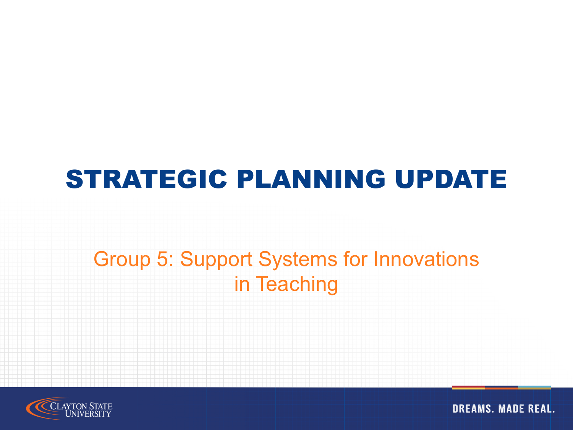#### STRATEGIC PLANNING UPDATE

#### Group 5: Support Systems for Innovations in Teaching

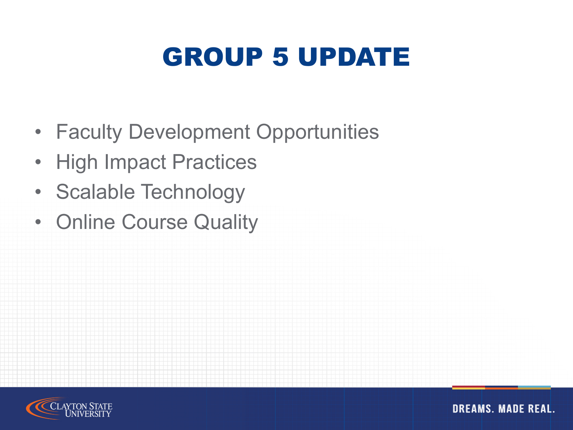## GROUP 5 UPDATE

- Faculty Development Opportunities
- High Impact Practices
- Scalable Technology
- Online Course Quality

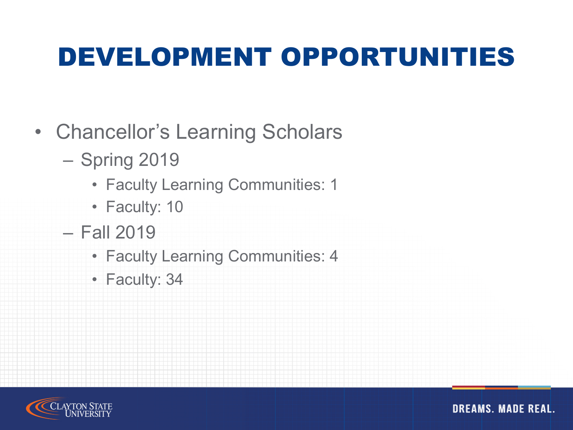#### DEVELOPMENT OPPORTUNITIES

- Chancellor's Learning Scholars
	- Spring 2019
		- Faculty Learning Communities: 1
		- Faculty: 10
	- Fall 2019
		- Faculty Learning Communities: 4
		- Faculty: 34

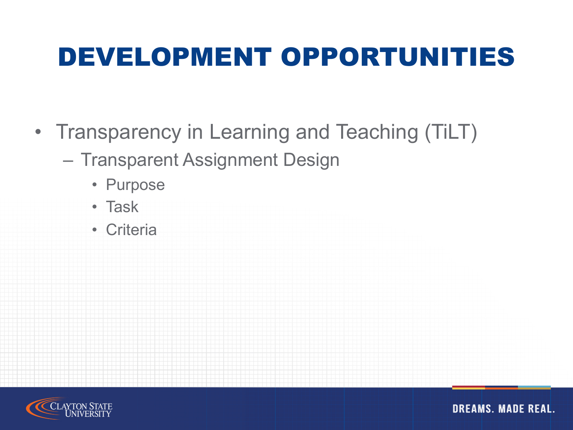## DEVELOPMENT OPPORTUNITIES

- Transparency in Learning and Teaching (TiLT)
	- Transparent Assignment Design
		- Purpose
		- Task
		- Criteria

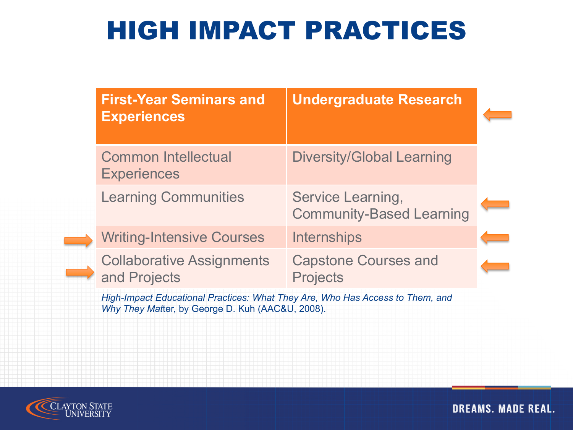#### HIGH IMPACT PRACTICES

| <b>First-Year Seminars and</b><br><b>Experiences</b> | <b>Undergraduate Research</b>                        |  |
|------------------------------------------------------|------------------------------------------------------|--|
| <b>Common Intellectual</b><br><b>Experiences</b>     | <b>Diversity/Global Learning</b>                     |  |
| <b>Learning Communities</b>                          | Service Learning,<br><b>Community-Based Learning</b> |  |
| <b>Writing-Intensive Courses</b>                     | <b>Internships</b>                                   |  |
| <b>Collaborative Assignments</b><br>and Projects     | <b>Capstone Courses and</b><br><b>Projects</b>       |  |
|                                                      |                                                      |  |

*High-Impact Educational Practices: What They Are, Who Has Access to Them, and Why They Mat*ter, by George D. Kuh (AAC&U, 2008).

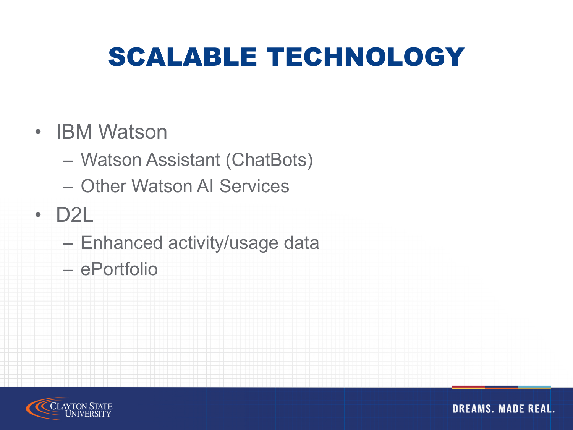## SCALABLE TECHNOLOGY

#### • IBM Watson

- Watson Assistant (ChatBots)
- Other Watson AI Services

#### • D2L

- Enhanced activity/usage data
- ePortfolio

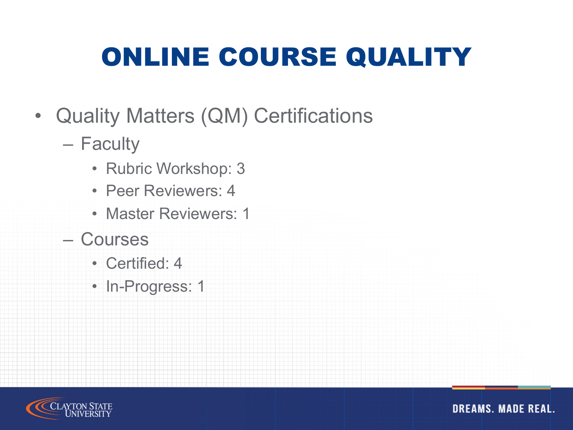# ONLINE COURSE QUALITY

- Quality Matters (QM) Certifications
	- Faculty
		- Rubric Workshop: 3
		- Peer Reviewers: 4
		- Master Reviewers: 1
	- Courses
		- Certified: 4
		- In-Progress: 1